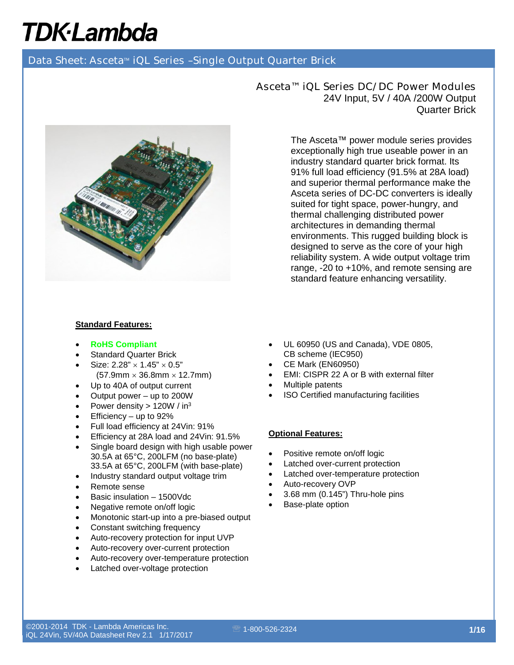#### Data Sheet: Asceta<sup>™</sup> iQL Series -Single Output Quarter Brick



Asceta™ iQL Series DC/DC Power Modules 24V Input, 5V / 40A /200W Output Quarter Brick

> The Asceta™ power module series provides exceptionally high true useable power in an industry standard quarter brick format. Its 91% full load efficiency (91.5% at 28A load) and superior thermal performance make the Asceta series of DC-DC converters is ideally suited for tight space, power-hungry, and thermal challenging distributed power architectures in demanding thermal environments. This rugged building block is designed to serve as the core of your high reliability system. A wide output voltage trim range, -20 to +10%, and remote sensing are standard feature enhancing versatility.

#### **Standard Features:**

- **RoHS Compliant**
- **Standard Quarter Brick**
- Size:  $2.28" \times 1.45" \times 0.5"$  $(57.9$ mm  $\times$  36.8mm  $\times$  12.7mm)
- Up to 40A of output current
- Output power  $-$  up to 200W
- Power density  $> 120W / in<sup>3</sup>$
- Efficiency up to 92%
- Full load efficiency at 24Vin: 91%
- Efficiency at 28A load and 24Vin: 91.5%
- Single board design with high usable power 30.5A at 65°C, 200LFM (no base-plate) 33.5A at 65°C, 200LFM (with base-plate)
- Industry standard output voltage trim
- Remote sense
- Basic insulation 1500Vdc
- Negative remote on/off logic
- Monotonic start-up into a pre-biased output
- Constant switching frequency
- Auto-recovery protection for input UVP
- Auto-recovery over-current protection
- Auto-recovery over-temperature protection
- Latched over-voltage protection
- UL 60950 (US and Canada), VDE 0805, CB scheme (IEC950)
- CE Mark (EN60950)
- EMI: CISPR 22 A or B with external filter
- Multiple patents
- ISO Certified manufacturing facilities

#### **Optional Features:**

- Positive remote on/off logic
- Latched over-current protection
- Latched over-temperature protection
- Auto-recovery OVP
- 3.68 mm (0.145") Thru-hole pins
- Base-plate option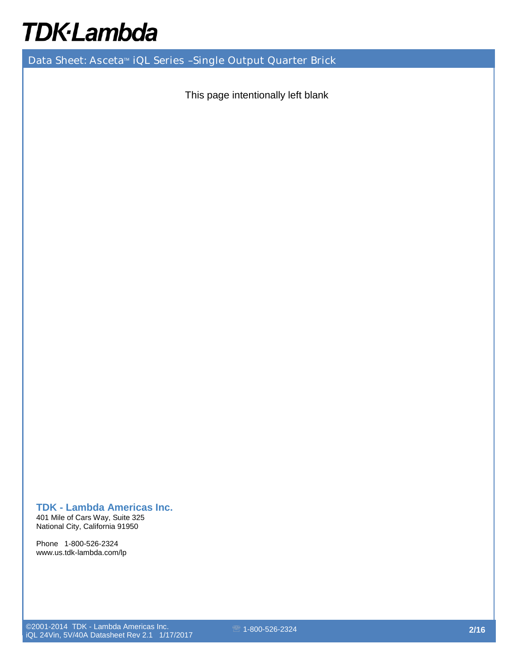## **TDK-Lambda**

Data Sheet: Asceta<sup>™</sup> iQL Series -Single Output Quarter Brick

This page intentionally left blank

#### **TDK - Lambda Americas Inc.**

401 Mile of Cars Way, Suite 325 National City, California 91950

Phone 1-800-526-2324 www.us.tdk-lambda.com/lp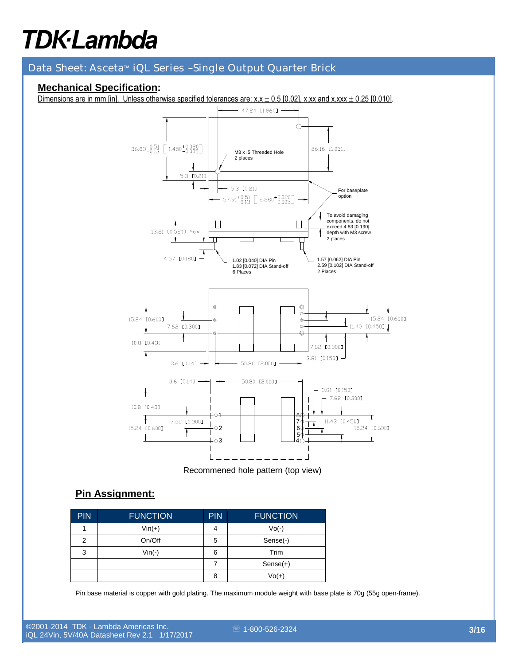### Data Sheet: Asceta<sup>™</sup> iQL Series -Single Output Quarter Brick

#### **Mechanical Specification:**

Dimensions are in mm [in]. Unless otherwise specified tolerances are:  $x.x \pm 0.5$  [0.02], x.xx and x.xxx  $\pm$  0.25 [0.010].



Recommened hole pattern (top view)

### **Pin Assignment:**

| <b>PIN</b> | <b>FUNCTION</b> | <b>PIN</b> | <b>FUNCTION</b> |
|------------|-----------------|------------|-----------------|
|            | $Vin(+)$        | 4          | $Vo(-)$         |
| 2          | On/Off          | 5          | Sense(-)        |
| 3          | $Vin(-)$        | 6          | Trim            |
|            |                 |            | $Sense(+)$      |
|            |                 | 8          | $Vol(+)$        |

Pin base material is copper with gold plating. The maximum module weight with base plate is 70g (55g open-frame).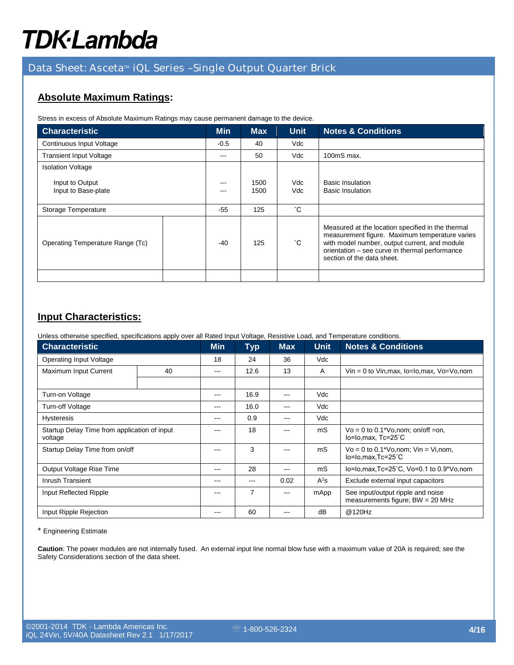### Data Sheet: Asceta<sup>™</sup> iQL Series -Single Output Quarter Brick

### **Absolute Maximum Ratings:**

Stress in excess of Absolute Maximum Ratings may cause permanent damage to the device.

| <b>Characteristic</b>                  | <b>Min</b>   | <b>Max</b>   | <b>Unit</b> | <b>Notes &amp; Conditions</b>                                                                                                                                                                                                        |
|----------------------------------------|--------------|--------------|-------------|--------------------------------------------------------------------------------------------------------------------------------------------------------------------------------------------------------------------------------------|
| Continuous Input Voltage               | $-0.5$       | 40           | Vdc         |                                                                                                                                                                                                                                      |
| <b>Transient Input Voltage</b>         | $---$        | 50           | Vdc         | 100mS max.                                                                                                                                                                                                                           |
| <b>Isolation Voltage</b>               |              |              |             |                                                                                                                                                                                                                                      |
| Input to Output<br>Input to Base-plate | $---$<br>--- | 1500<br>1500 | Vdc<br>Vdc. | <b>Basic Insulation</b><br><b>Basic Insulation</b>                                                                                                                                                                                   |
| Storage Temperature                    | $-55$        | 125          | °С          |                                                                                                                                                                                                                                      |
| Operating Temperature Range (Tc)       | $-40$        | 125          | °С          | Measured at the location specified in the thermal<br>measurement figure. Maximum temperature varies<br>with model number, output current, and module<br>orientation - see curve in thermal performance<br>section of the data sheet. |
|                                        |              |              |             |                                                                                                                                                                                                                                      |

### **Input Characteristics:**

Unless otherwise specified, specifications apply over all Rated Input Voltage, Resistive Load, and Temperature conditions.

| <b>Characteristic</b>                                   | <b>Min</b> | <b>Typ</b> | <b>Max</b> | <b>Unit</b> | <b>Notes &amp; Conditions</b> |                                                                         |
|---------------------------------------------------------|------------|------------|------------|-------------|-------------------------------|-------------------------------------------------------------------------|
| Operating Input Voltage                                 |            | 18         | 24         | 36          | Vdc                           |                                                                         |
| Maximum Input Current<br>40                             |            | ---        | 12.6       | 13          | A                             | $V$ in = 0 to Vin, max, Io=Io, max, Vo=Vo, nom                          |
|                                                         |            |            |            |             |                               |                                                                         |
| Turn-on Voltage                                         |            | ---        | 16.9       | ---         | Vdc                           |                                                                         |
| Turn-off Voltage                                        |            | ---        | 16.0       | ---         | Vdc                           |                                                                         |
| <b>Hysteresis</b>                                       |            | ---        | 0.9        | ---         | Vdc                           |                                                                         |
| Startup Delay Time from application of input<br>voltage |            | ---        | 18         |             | mS                            | $Vo = 0$ to 0.1*Vo, nom; on/off = on,<br>lo=lo,max, Tc=25°C             |
| Startup Delay Time from on/off                          |            | ---        | 3          | ---         | mS                            | $Vo = 0$ to 0.1*Vo, nom; $ Vin = Vi$ , nom,<br>lo=lo,max,Tc=25°C        |
| Output Voltage Rise Time                                |            | ---        | 28         | ---         | mS                            | lo=lo,max,Tc=25°C, Vo=0.1 to 0.9*Vo,nom                                 |
| Inrush Transient                                        |            | ---        | ---        | 0.02        | $A^2s$                        | Exclude external input capacitors                                       |
| Input Reflected Ripple                                  |            | ---        | 7          |             | mApp                          | See input/output ripple and noise<br>measurements figure; $BW = 20 MHz$ |
| Input Ripple Rejection                                  |            | ---        | 60         | ---         | dB                            | @120Hz                                                                  |

\* Engineering Estimate

**Caution**: The power modules are not internally fused. An external input line normal blow fuse with a maximum value of 20A is required; see the Safety Considerations section of the data sheet.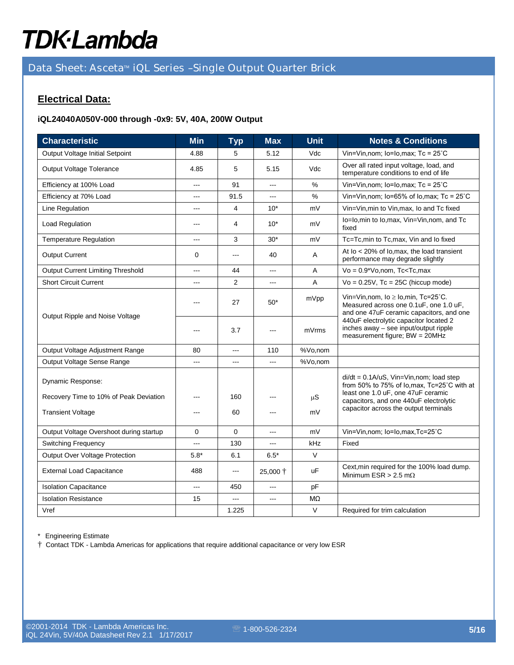### Data Sheet: Asceta<sup>™</sup> iQL Series -Single Output Quarter Brick

### **Electrical Data:**

#### **iQL24040A050V-000 through -0x9: 5V, 40A, 200W Output**

| <b>Characteristic</b>                    | <b>Min</b>  | <b>Typ</b>     | <b>Max</b>     | <b>Unit</b> | <b>Notes &amp; Conditions</b>                                                                                                                                                                                                                   |
|------------------------------------------|-------------|----------------|----------------|-------------|-------------------------------------------------------------------------------------------------------------------------------------------------------------------------------------------------------------------------------------------------|
| Output Voltage Initial Setpoint          | 4.88        | 5              | 5.12           | Vdc         | Vin=Vin, nom; $lo=Io$ , max; $Tc = 25^{\circ}C$                                                                                                                                                                                                 |
| <b>Output Voltage Tolerance</b>          | 4.85        | 5              | 5.15           | Vdc         | Over all rated input voltage, load, and<br>temperature conditions to end of life                                                                                                                                                                |
| Efficiency at 100% Load                  | ---         | 91             | $\overline{a}$ | %           | Vin=Vin,nom; lo=lo,max; Tc = 25°C                                                                                                                                                                                                               |
| Efficiency at 70% Load                   | ---         | 91.5           | $---$          | $\%$        | Vin=Vin, nom; lo=65% of lo, max; Tc = $25^{\circ}$ C                                                                                                                                                                                            |
| Line Regulation                          | ---         | 4              | $10*$          | mV          | Vin=Vin, min to Vin, max, Io and Tc fixed                                                                                                                                                                                                       |
| Load Regulation                          | ---         | 4              | $10*$          | mV          | lo=lo, min to lo, max, Vin=Vin, nom, and Tc<br>fixed                                                                                                                                                                                            |
| <b>Temperature Regulation</b>            | ---         | 3              | $30*$          | mV          | Tc=Tc,min to Tc,max, Vin and Io fixed                                                                                                                                                                                                           |
| <b>Output Current</b>                    | 0           | ---            | 40             | Α           | At lo < 20% of lo, max, the load transient<br>performance may degrade slightly                                                                                                                                                                  |
| <b>Output Current Limiting Threshold</b> | $\sim$      | 44             | $\sim$         | A           | $Vo = 0.9*Vo, nom, Tc < Tc, max$                                                                                                                                                                                                                |
| <b>Short Circuit Current</b>             | ---         | $\overline{2}$ | ---            | A           | $Vo = 0.25V$ , Tc = 25C (hiccup mode)                                                                                                                                                                                                           |
| Output Ripple and Noise Voltage          |             | 27             | $50*$          | mVpp        | Vin=Vin, nom, lo ≥ lo, min, Tc=25°C.<br>Measured across one 0.1uF, one 1.0 uF,<br>and one 47uF ceramic capacitors, and one<br>440uF electrolytic capacitor located 2<br>inches away - see input/output ripple<br>measurement figure; BW = 20MHz |
|                                          | ---         | 3.7            | ---            | mVrms       |                                                                                                                                                                                                                                                 |
| Output Voltage Adjustment Range          | 80          | ---            | 110            | %Vo,nom     |                                                                                                                                                                                                                                                 |
| Output Voltage Sense Range               |             | ---            |                | %Vo,nom     |                                                                                                                                                                                                                                                 |
| Dynamic Response:                        |             |                |                |             | $di/dt = 0.1A/uS$ , Vin=Vin, nom; load step<br>from 50% to 75% of lo, max, Tc=25°C with at<br>least one 1.0 uF, one 47uF ceramic                                                                                                                |
| Recovery Time to 10% of Peak Deviation   |             | 160            |                | μS          | capacitors, and one 440uF electrolytic                                                                                                                                                                                                          |
| <b>Transient Voltage</b>                 | $- - -$     | 60             | ---            | mV          | capacitor across the output terminals                                                                                                                                                                                                           |
| Output Voltage Overshoot during startup  | $\mathbf 0$ | $\Omega$       | ---            | mV          | Vin=Vin, nom; lo=lo, max, Tc=25°C                                                                                                                                                                                                               |
| <b>Switching Frequency</b>               | ---         | 130            | $---$          | kHz         | Fixed                                                                                                                                                                                                                                           |
| Output Over Voltage Protection           | $5.8*$      | 6.1            | $6.5*$         | $\vee$      |                                                                                                                                                                                                                                                 |
| <b>External Load Capacitance</b>         | 488         | ---            | $25,000$ †     | <b>uF</b>   | Cext, min required for the 100% load dump.<br>Minimum ESR > 2.5 m $\Omega$                                                                                                                                                                      |
| <b>Isolation Capacitance</b>             | ---         | 450            |                | pF          |                                                                                                                                                                                                                                                 |
| <b>Isolation Resistance</b>              | 15          | ---            | ---            | MΩ          |                                                                                                                                                                                                                                                 |
| Vref                                     |             | 1.225          |                | V           | Required for trim calculation                                                                                                                                                                                                                   |

\* Engineering Estimate

† Contact TDK - Lambda Americas for applications that require additional capacitance or very low ESR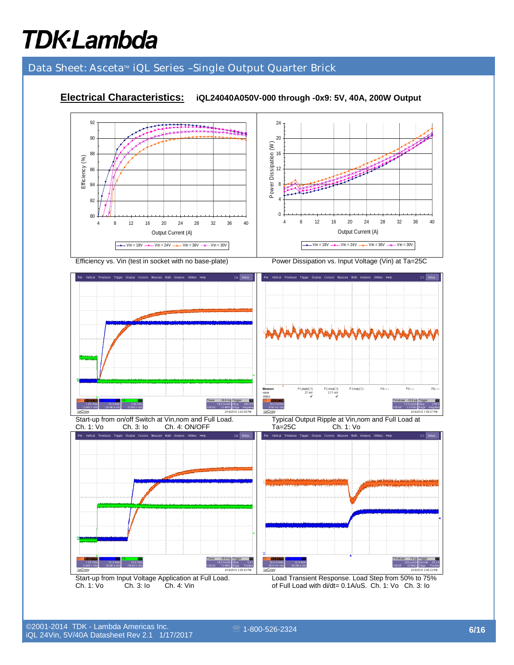## **TDK-Lambda**

## Data Sheet: Asceta<sup>™</sup> iQL Series -Single Output Quarter Brick



#### **Electrical Characteristics: iQL24040A050V-000 through -0x9: 5V, 40A, 200W Output**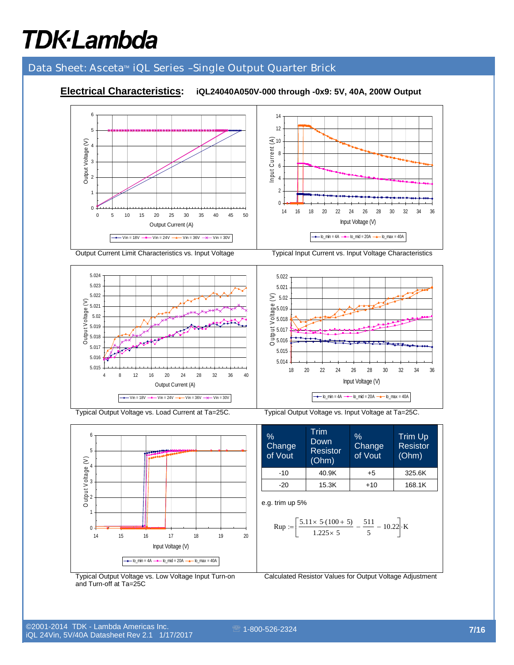### Data Sheet: Asceta<sup>™</sup> iQL Series -Single Output Quarter Brick

#### **Electrical Characteristics: iQL24040A050V-000 through -0x9: 5V, 40A, 200W Output**  6 14 12 5  $\stackrel{\textstyle <}{\textstyle \sim}$ (A)<br>Input Current (A)<br>4<br>4 Output Voltage (V) 4 **Dutput Voltage** 8 3 6 2 4 2 1  $\Omega$ 0 14 16 18 20 22 24 26 28 30 32 34 36 0 5 10 15 20 25 30 35 40 45 50 Input Voltage (V) Output Current (A)  $\overline{\phantom{a}}$   $\rightarrow$   $\phantom{a}$  Io\_min = 4A  $\rightarrow$   $\phantom{a}$  Io\_mid = 20A  $\rightarrow$   $\phantom{a}$  Io\_max = 40A  $\overline{\left(-\rightarrow\right)}$  Vin = 18V  $\rightarrow\rightarrow\left$  Vin = 24V  $\rightarrow\rightarrow\left$  Vin = 36V  $\rightarrow\leftarrow$  Vin = 30V Output Current Limit Characteristics vs. Input Voltage Typical Input Current vs. Input Voltage Characteristics





Typical Output Voltage vs. Load Current at Ta=25C. Typical Output Voltage vs. Input Voltage at Ta=25C.



of Vout (Ohm) **Change** of Vout Trim Up Resistor (Ohm)  $-10$  40.9K +5 325.6K -20 | 15.3K | +10 | 168.1K

e.g. trim up 5%

$$
\text{Rup} := \left[ \frac{5.11 \times 5 \cdot (100 + 5)}{1.225 \times 5} - \frac{511}{5} - 10.22 \right] \cdot \text{K}
$$

Typical Output Voltage vs. Low Voltage Input Turn-on and Turn-off at Ta=25C

14 15 16 17 18 19 20 Input Voltage (V)

 $\boxed{\rightarrow}$  Io\_min = 4A  $\rightarrow$  Io\_mid = 20A  $\rightarrow$  Io\_max = 40A

Calculated Resistor Values for Output Voltage Adjustment

©2001-2014 TDK - Lambda Americas Inc. iQL 24Vin, 5V/40A Datasheet Rev 2.1 1/17/2017

 $\theta$ 1

Output Voltage (V)

 $\sum$ 

 $\bar{\circ}$ 

5 6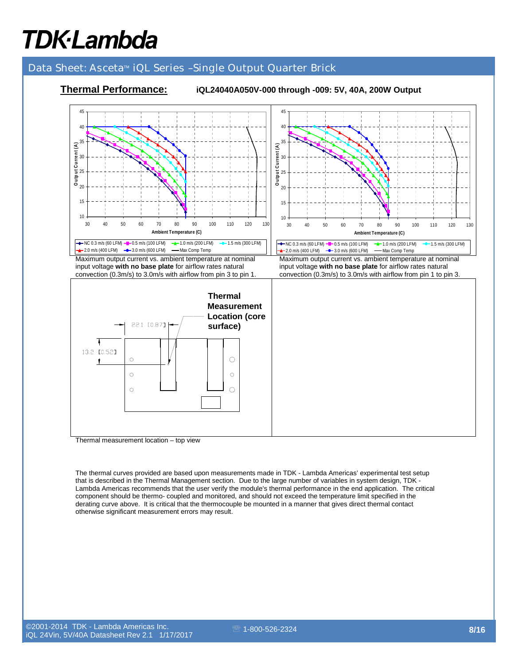### Data Sheet: Asceta<sup>™</sup> iQL Series -Single Output Quarter Brick



Thermal measurement location – top view

The thermal curves provided are based upon measurements made in TDK - Lambda Americas' experimental test setup that is described in the Thermal Management section. Due to the large number of variables in system design, TDK - Lambda Americas recommends that the user verify the module's thermal performance in the end application. The critical component should be thermo- coupled and monitored, and should not exceed the temperature limit specified in the derating curve above. It is critical that the thermocouple be mounted in a manner that gives direct thermal contact otherwise significant measurement errors may result.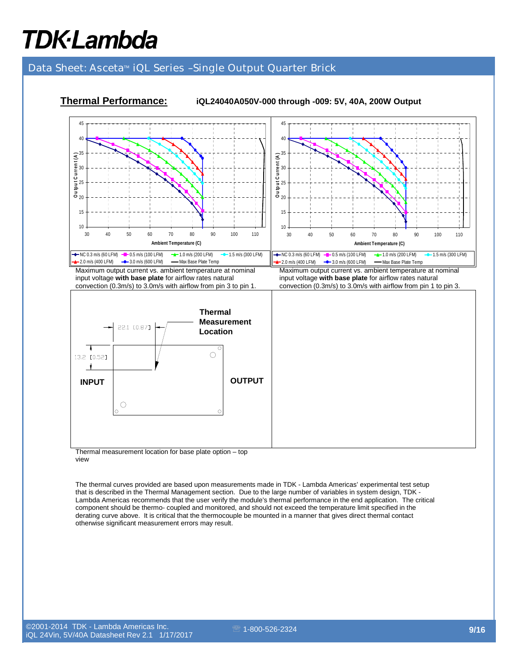### Data Sheet: Asceta<sup>™</sup> iQL Series -Single Output Quarter Brick



**Thermal Performance: iQL24040A050V-000 through -009: 5V, 40A, 200W Output** 

Thermal measurement location for base plate option – top view

The thermal curves provided are based upon measurements made in TDK - Lambda Americas' experimental test setup that is described in the Thermal Management section. Due to the large number of variables in system design, TDK - Lambda Americas recommends that the user verify the module's thermal performance in the end application. The critical component should be thermo- coupled and monitored, and should not exceed the temperature limit specified in the derating curve above. It is critical that the thermocouple be mounted in a manner that gives direct thermal contact otherwise significant measurement errors may result.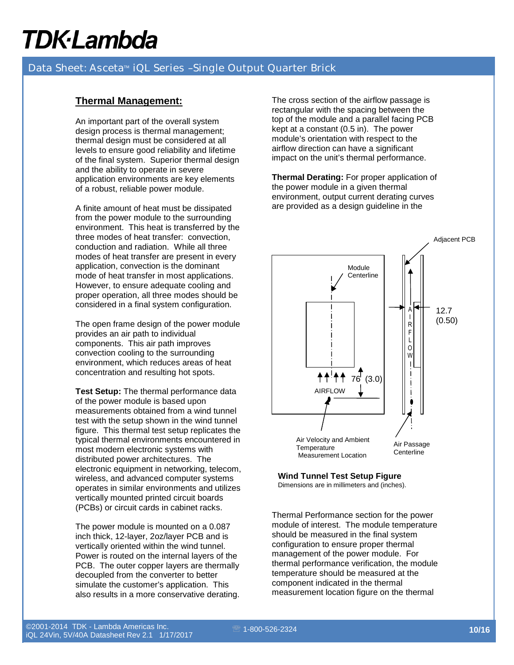### Data Sheet: Asceta<sup>™</sup> iQL Series -Single Output Quarter Brick

#### **Thermal Management:**

An important part of the overall system design process is thermal management; thermal design must be considered at all levels to ensure good reliability and lifetime of the final system. Superior thermal design and the ability to operate in severe application environments are key elements of a robust, reliable power module.

A finite amount of heat must be dissipated from the power module to the surrounding environment. This heat is transferred by the three modes of heat transfer: convection, conduction and radiation. While all three modes of heat transfer are present in every application, convection is the dominant mode of heat transfer in most applications. However, to ensure adequate cooling and proper operation, all three modes should be considered in a final system configuration.

The open frame design of the power module provides an air path to individual components. This air path improves convection cooling to the surrounding environment, which reduces areas of heat concentration and resulting hot spots.

**Test Setup:** The thermal performance data of the power module is based upon measurements obtained from a wind tunnel test with the setup shown in the wind tunnel figure. This thermal test setup replicates the typical thermal environments encountered in most modern electronic systems with distributed power architectures. The electronic equipment in networking, telecom, wireless, and advanced computer systems operates in similar environments and utilizes vertically mounted printed circuit boards (PCBs) or circuit cards in cabinet racks.

The power module is mounted on a 0.087 inch thick, 12-layer, 2oz/layer PCB and is vertically oriented within the wind tunnel. Power is routed on the internal layers of the PCB. The outer copper layers are thermally decoupled from the converter to better simulate the customer's application. This also results in a more conservative derating.

The cross section of the airflow passage is rectangular with the spacing between the top of the module and a parallel facing PCB kept at a constant (0.5 in). The power module's orientation with respect to the airflow direction can have a significant impact on the unit's thermal performance.

**Thermal Derating:** For proper application of the power module in a given thermal environment, output current derating curves are provided as a design guideline in the



### **Wind Tunnel Test Setup Figure**

Dimensions are in millimeters and (inches).

Thermal Performance section for the power module of interest. The module temperature should be measured in the final system configuration to ensure proper thermal management of the power module. For thermal performance verification, the module temperature should be measured at the component indicated in the thermal measurement location figure on the thermal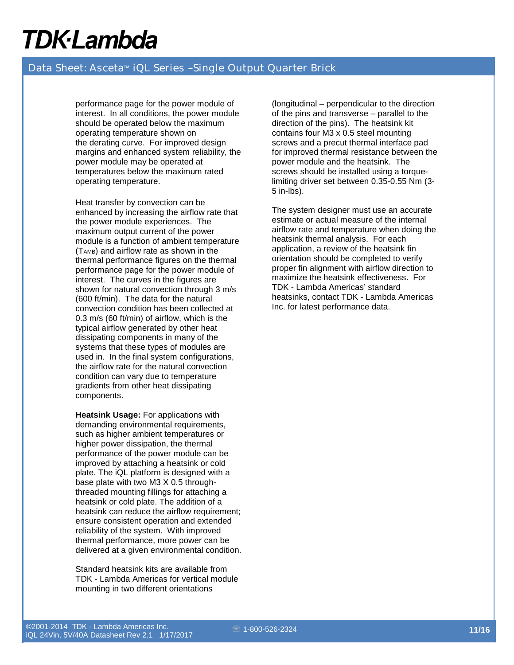### Data Sheet: Asceta<sup>™</sup> iQL Series -Single Output Quarter Brick

performance page for the power module of interest. In all conditions, the power module should be operated below the maximum operating temperature shown on the derating curve. For improved design margins and enhanced system reliability, the power module may be operated at temperatures below the maximum rated operating temperature.

Heat transfer by convection can be enhanced by increasing the airflow rate that the power module experiences. The maximum output current of the power module is a function of ambient temperature  $(T<sub>AMB</sub>)$  and airflow rate as shown in the thermal performance figures on the thermal performance page for the power module of interest. The curves in the figures are shown for natural convection through 3 m/s (600 ft/min). The data for the natural convection condition has been collected at 0.3 m/s (60 ft/min) of airflow, which is the typical airflow generated by other heat dissipating components in many of the systems that these types of modules are used in. In the final system configurations, the airflow rate for the natural convection condition can vary due to temperature gradients from other heat dissipating components.

**Heatsink Usage: For applications with** demanding environmental requirements, such as higher ambient temperatures or higher power dissipation, the thermal performance of the power module can be improved by attaching a heatsink or cold plate. The iQL platform is designed with a base plate with two M3 X 0.5 throughthreaded mounting fillings for attaching a heatsink or cold plate. The addition of a heatsink can reduce the airflow requirement; ensure consistent operation and extended reliability of the system. With improved thermal performance, more power can be delivered at a given environmental condition.

Standard heatsink kits are available from TDK - Lambda Americas for vertical module mounting in two different orientations

(longitudinal – perpendicular to the direction of the pins and transverse – parallel to the direction of the pins). The heatsink kit contains four M3 x 0.5 steel mounting screws and a precut thermal interface pad for improved thermal resistance between the power module and the heatsink. The screws should be installed using a torquelimiting driver set between 0.35-0.55 Nm (3- 5 in-lbs).

The system designer must use an accurate estimate or actual measure of the internal airflow rate and temperature when doing the heatsink thermal analysis. For each application, a review of the heatsink fin orientation should be completed to verify proper fin alignment with airflow direction to maximize the heatsink effectiveness. For TDK - Lambda Americas' standard heatsinks, contact TDK - Lambda Americas Inc. for latest performance data.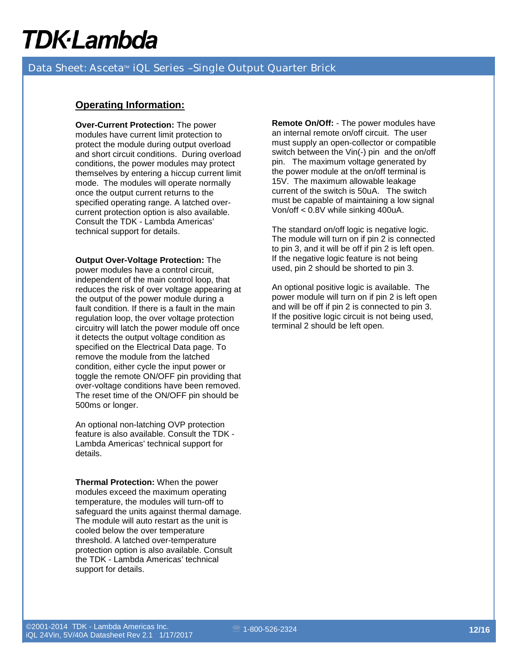### Data Sheet: Asceta<sup>™</sup> iQL Series -Single Output Quarter Brick

#### **Operating Information:**

**Over-Current Protection:** The power modules have current limit protection to protect the module during output overload and short circuit conditions. During overload conditions, the power modules may protect themselves by entering a hiccup current limit mode. The modules will operate normally once the output current returns to the specified operating range. A latched overcurrent protection option is also available. Consult the TDK - Lambda Americas' technical support for details.

**Output Over-Voltage Protection:** The power modules have a control circuit, independent of the main control loop, that reduces the risk of over voltage appearing at the output of the power module during a fault condition. If there is a fault in the main regulation loop, the over voltage protection circuitry will latch the power module off once it detects the output voltage condition as specified on the Electrical Data page. To remove the module from the latched condition, either cycle the input power or toggle the remote ON/OFF pin providing that over-voltage conditions have been removed. The reset time of the ON/OFF pin should be 500ms or longer.

An optional non-latching OVP protection feature is also available. Consult the TDK - Lambda Americas' technical support for details.

**Thermal Protection:** When the power modules exceed the maximum operating temperature, the modules will turn-off to safeguard the units against thermal damage. The module will auto restart as the unit is cooled below the over temperature threshold. A latched over-temperature protection option is also available. Consult the TDK - Lambda Americas' technical support for details.

**Remote On/Off:** - The power modules have an internal remote on/off circuit. The user must supply an open-collector or compatible switch between the Vin(-) pin and the on/off pin. The maximum voltage generated by the power module at the on/off terminal is 15V. The maximum allowable leakage current of the switch is 50uA. The switch must be capable of maintaining a low signal Von/off < 0.8V while sinking 400uA.

The standard on/off logic is negative logic. The module will turn on if pin 2 is connected to pin 3, and it will be off if pin 2 is left open. If the negative logic feature is not being used, pin 2 should be shorted to pin 3.

An optional positive logic is available. The power module will turn on if pin 2 is left open and will be off if pin 2 is connected to pin 3. If the positive logic circuit is not being used, terminal 2 should be left open.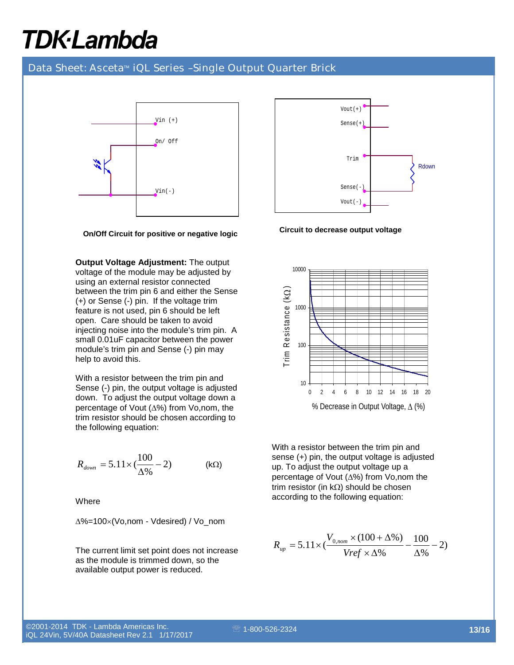#### Data Sheet: Asceta<sup>™</sup> iQL Series -Single Output Quarter Brick



**On/Off Circuit for positive or negative logic** 

**Output Voltage Adjustment:** The output voltage of the module may be adjusted by using an external resistor connected between the trim pin 6 and either the Sense (+) or Sense (-) pin. If the voltage trim feature is not used, pin 6 should be left open. Care should be taken to avoid injecting noise into the module's trim pin. A small 0.01uF capacitor between the power module's trim pin and Sense (-) pin may help to avoid this.

With a resistor between the trim pin and Sense (-) pin, the output voltage is adjusted down. To adjust the output voltage down a percentage of Vout (∆%) from Vo,nom, the trim resistor should be chosen according to the following equation:

$$
R_{down} = 5.11 \times (\frac{100}{\Delta\%} - 2)
$$
 (kΩ)

**Where** 

∆%=100×(Vo,nom - Vdesired) / Vo\_nom

The current limit set point does not increase as the module is trimmed down, so the available output power is reduced.



**Circuit to decrease output voltage** 



With a resistor between the trim pin and sense (+) pin, the output voltage is adjusted up. To adjust the output voltage up a percentage of Vout (∆%) from Vo,nom the trim resistor (in kΩ) should be chosen according to the following equation:

$$
R_{up} = 5.11 \times \left(\frac{V_{0,nom} \times (100 + \Delta\%)}{Vref \times \Delta\%} - \frac{100}{\Delta\%} - 2\right)
$$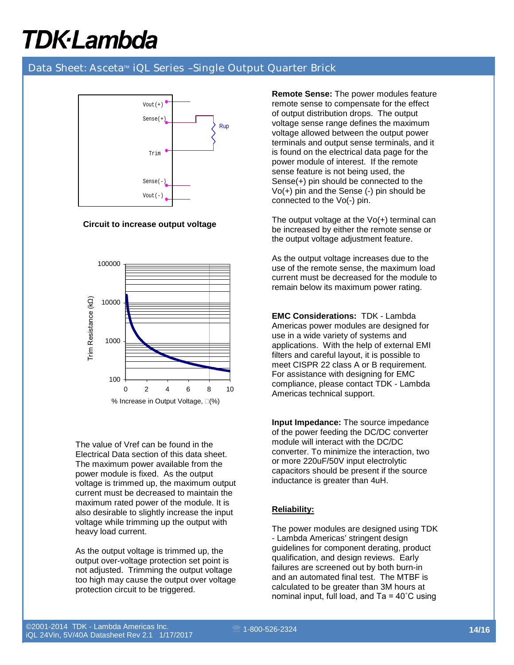### Data Sheet: Asceta<sup>™</sup> iQL Series -Single Output Quarter Brick



**Circuit to increase output voltage** 



The value of Vref can be found in the Electrical Data section of this data sheet. The maximum power available from the power module is fixed. As the output voltage is trimmed up, the maximum output current must be decreased to maintain the maximum rated power of the module. It is also desirable to slightly increase the input voltage while trimming up the output with heavy load current.

As the output voltage is trimmed up, the output over-voltage protection set point is not adjusted. Trimming the output voltage too high may cause the output over voltage protection circuit to be triggered.

**Remote Sense:** The power modules feature remote sense to compensate for the effect of output distribution drops. The output voltage sense range defines the maximum voltage allowed between the output power terminals and output sense terminals, and it is found on the electrical data page for the power module of interest. If the remote sense feature is not being used, the Sense(+) pin should be connected to the Vo(+) pin and the Sense (-) pin should be connected to the Vo(-) pin.

The output voltage at the Vo(+) terminal can be increased by either the remote sense or the output voltage adjustment feature.

As the output voltage increases due to the use of the remote sense, the maximum load current must be decreased for the module to remain below its maximum power rating.

**EMC Considerations:** TDK - Lambda Americas power modules are designed for use in a wide variety of systems and applications. With the help of external EMI filters and careful layout, it is possible to meet CISPR 22 class A or B requirement. For assistance with designing for EMC compliance, please contact TDK - Lambda Americas technical support.

**Input Impedance:** The source impedance of the power feeding the DC/DC converter module will interact with the DC/DC converter. To minimize the interaction, two or more 220uF/50V input electrolytic capacitors should be present if the source inductance is greater than 4uH.

#### **Reliability:**

The power modules are designed using TDK - Lambda Americas' stringent design guidelines for component derating, product qualification, and design reviews. Early failures are screened out by both burn-in and an automated final test. The MTBF is calculated to be greater than 3M hours at nominal input, full load, and Ta = 40˚C using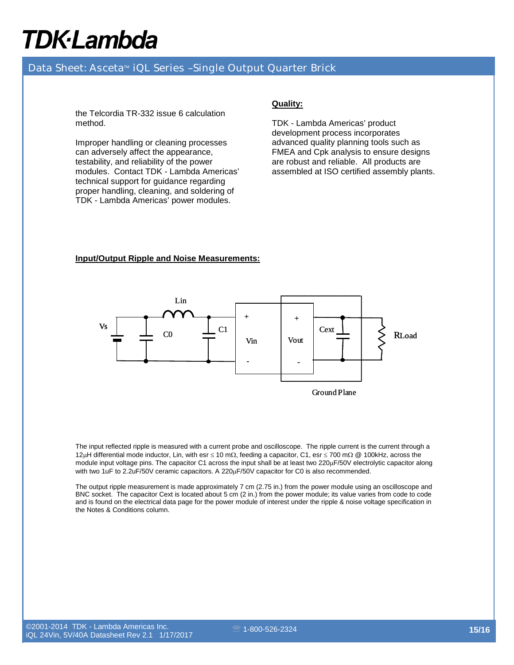#### Data Sheet: Asceta<sup>™</sup> iQL Series -Single Output Quarter Brick

the Telcordia TR-332 issue 6 calculation method.

Improper handling or cleaning processes can adversely affect the appearance, testability, and reliability of the power modules. Contact TDK - Lambda Americas' technical support for guidance regarding proper handling, cleaning, and soldering of TDK - Lambda Americas' power modules.

#### **Quality:**

TDK - Lambda Americas' product development process incorporates advanced quality planning tools such as FMEA and Cpk analysis to ensure designs are robust and reliable. All products are assembled at ISO certified assembly plants.

#### **Input/Output Ripple and Noise Measurements:**



The input reflected ripple is measured with a current probe and oscilloscope. The ripple current is the current through a 12µH differential mode inductor, Lin, with esr ≤ 10 mΩ, feeding a capacitor, C1, esr ≤ 700 mΩ @ 100kHz, across the module input voltage pins. The capacitor C1 across the input shall be at least two 220µF/50V electrolytic capacitor along with two 1uF to 2.2uF/50V ceramic capacitors. A 220µF/50V capacitor for C0 is also recommended.

The output ripple measurement is made approximately 7 cm (2.75 in.) from the power module using an oscilloscope and BNC socket. The capacitor Cext is located about 5 cm (2 in.) from the power module; its value varies from code to code and is found on the electrical data page for the power module of interest under the ripple & noise voltage specification in the Notes & Conditions column.